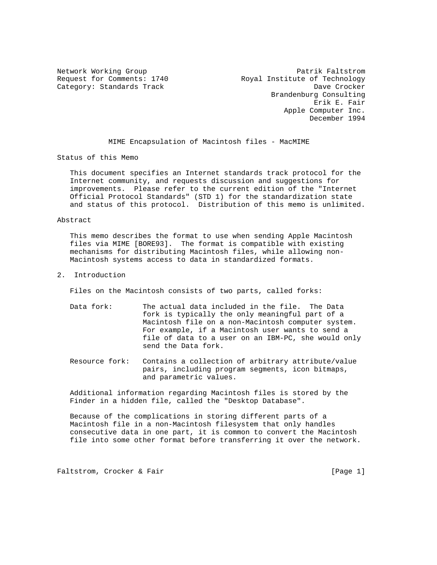Network Working Group<br>Request for Comments: 1740 Royal Institute of Technology Royal Institute of Technology Category: Standards Track Dave Crocker Brandenburg Consulting Erik E. Fair Apple Computer Inc. December 1994

MIME Encapsulation of Macintosh files - MacMIME

Status of this Memo

 This document specifies an Internet standards track protocol for the Internet community, and requests discussion and suggestions for improvements. Please refer to the current edition of the "Internet Official Protocol Standards" (STD 1) for the standardization state and status of this protocol. Distribution of this memo is unlimited.

# Abstract

 This memo describes the format to use when sending Apple Macintosh files via MIME [BORE93]. The format is compatible with existing mechanisms for distributing Macintosh files, while allowing non- Macintosh systems access to data in standardized formats.

2. Introduction

Files on the Macintosh consists of two parts, called forks:

- Data fork: The actual data included in the file. The Data fork is typically the only meaningful part of a Macintosh file on a non-Macintosh computer system. For example, if a Macintosh user wants to send a file of data to a user on an IBM-PC, she would only send the Data fork.
- Resource fork: Contains a collection of arbitrary attribute/value pairs, including program segments, icon bitmaps, and parametric values.

 Additional information regarding Macintosh files is stored by the Finder in a hidden file, called the "Desktop Database".

 Because of the complications in storing different parts of a Macintosh file in a non-Macintosh filesystem that only handles consecutive data in one part, it is common to convert the Macintosh file into some other format before transferring it over the network.

Faltstrom, Crocker & Fair extended to the control of the set of the page 1]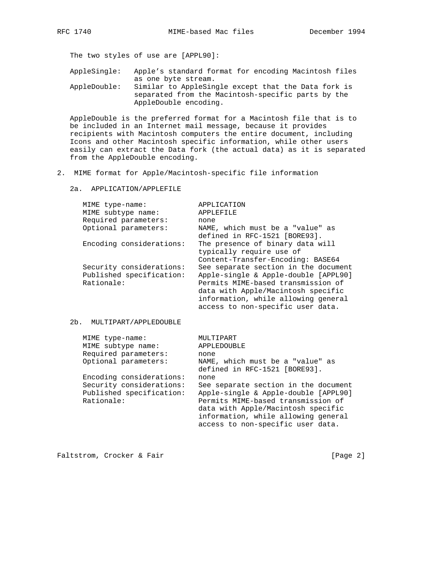The two styles of use are [APPL90]:

 AppleSingle: Apple's standard format for encoding Macintosh files as one byte stream. AppleDouble: Similar to AppleSingle except that the Data fork is

 separated from the Macintosh-specific parts by the AppleDouble encoding.

 AppleDouble is the preferred format for a Macintosh file that is to be included in an Internet mail message, because it provides recipients with Macintosh computers the entire document, including Icons and other Macintosh specific information, while other users easily can extract the Data fork (the actual data) as it is separated from the AppleDouble encoding.

- 2. MIME format for Apple/Macintosh-specific file information
	- 2a. APPLICATION/APPLEFILE

| MIME type-name:          | APPLICATION                          |
|--------------------------|--------------------------------------|
| MIME subtype name:       | APPLEFILE                            |
| Required parameters:     | none                                 |
| Optional parameters:     | NAME, which must be a "value" as     |
|                          | defined in RFC-1521 [BORE93].        |
| Encoding considerations: | The presence of binary data will     |
|                          | typically require use of             |
|                          | Content-Transfer-Encoding: BASE64    |
| Security considerations: | See separate section in the document |
| Published specification: | Apple-single & Apple-double [APPL90] |
| Rationale:               | Permits MIME-based transmission of   |
|                          | data with Apple/Macintosh specific   |
|                          | information, while allowing general  |
|                          | access to non-specific user data.    |

# 2b. MULTIPART/APPLEDOUBLE

| MIME type-name:                                                    | MULTIPART                                                                                                                                                                                                                            |
|--------------------------------------------------------------------|--------------------------------------------------------------------------------------------------------------------------------------------------------------------------------------------------------------------------------------|
| MIME subtype name:                                                 | APPLEDOUBLE                                                                                                                                                                                                                          |
| Required parameters:                                               | none                                                                                                                                                                                                                                 |
| Optional parameters:                                               | NAME, which must be a "value" as<br>defined in RFC-1521 [BORE93].                                                                                                                                                                    |
| Encoding considerations:                                           | none                                                                                                                                                                                                                                 |
| Security considerations:<br>Published specification:<br>Rationale: | See separate section in the document<br>Apple-single & Apple-double [APPL90]<br>Permits MIME-based transmission of<br>data with Apple/Macintosh specific<br>information, while allowing general<br>access to non-specific user data. |
|                                                                    |                                                                                                                                                                                                                                      |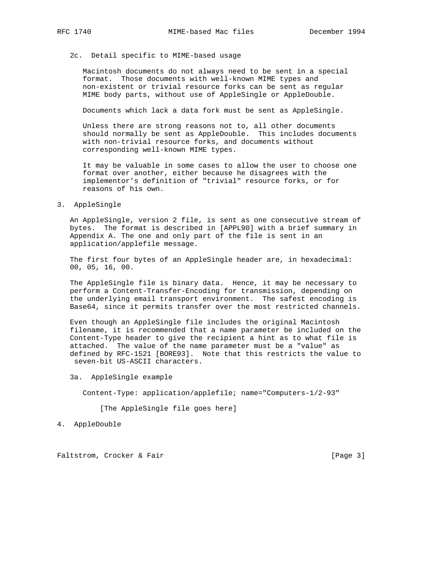# 2c. Detail specific to MIME-based usage

 Macintosh documents do not always need to be sent in a special format. Those documents with well-known MIME types and non-existent or trivial resource forks can be sent as regular MIME body parts, without use of AppleSingle or AppleDouble.

Documents which lack a data fork must be sent as AppleSingle.

 Unless there are strong reasons not to, all other documents should normally be sent as AppleDouble. This includes documents with non-trivial resource forks, and documents without corresponding well-known MIME types.

 It may be valuable in some cases to allow the user to choose one format over another, either because he disagrees with the implementor's definition of "trivial" resource forks, or for reasons of his own.

3. AppleSingle

 An AppleSingle, version 2 file, is sent as one consecutive stream of bytes. The format is described in [APPL90] with a brief summary in Appendix A. The one and only part of the file is sent in an application/applefile message.

 The first four bytes of an AppleSingle header are, in hexadecimal: 00, 05, 16, 00.

 The AppleSingle file is binary data. Hence, it may be necessary to perform a Content-Transfer-Encoding for transmission, depending on the underlying email transport environment. The safest encoding is Base64, since it permits transfer over the most restricted channels.

 Even though an AppleSingle file includes the original Macintosh filename, it is recommended that a name parameter be included on the Content-Type header to give the recipient a hint as to what file is attached. The value of the name parameter must be a "value" as defined by RFC-1521 [BORE93]. Note that this restricts the value to seven-bit US-ASCII characters.

3a. AppleSingle example

Content-Type: application/applefile; name="Computers-1/2-93"

[The AppleSingle file goes here]

4. AppleDouble

Faltstrom, Crocker & Fair extended to the control of the set of the set of the set of the page 3]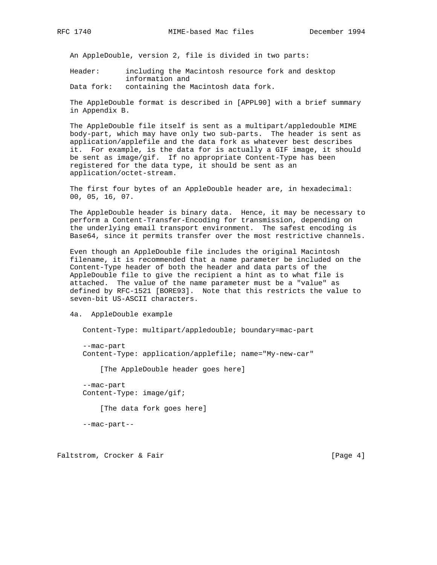An AppleDouble, version 2, file is divided in two parts:

 Header: including the Macintosh resource fork and desktop information and

Data fork: containing the Macintosh data fork.

 The AppleDouble format is described in [APPL90] with a brief summary in Appendix B.

 The AppleDouble file itself is sent as a multipart/appledouble MIME body-part, which may have only two sub-parts. The header is sent as application/applefile and the data fork as whatever best describes it. For example, is the data for is actually a GIF image, it should be sent as image/gif. If no appropriate Content-Type has been registered for the data type, it should be sent as an application/octet-stream.

 The first four bytes of an AppleDouble header are, in hexadecimal: 00, 05, 16, 07.

 The AppleDouble header is binary data. Hence, it may be necessary to perform a Content-Transfer-Encoding for transmission, depending on the underlying email transport environment. The safest encoding is Base64, since it permits transfer over the most restrictive channels.

 Even though an AppleDouble file includes the original Macintosh filename, it is recommended that a name parameter be included on the Content-Type header of both the header and data parts of the AppleDouble file to give the recipient a hint as to what file is attached. The value of the name parameter must be a "value" as defined by RFC-1521 [BORE93]. Note that this restricts the value to seven-bit US-ASCII characters.

4a. AppleDouble example

Content-Type: multipart/appledouble; boundary=mac-part

 --mac-part Content-Type: application/applefile; name="My-new-car"

[The AppleDouble header goes here]

 --mac-part Content-Type: image/gif;

[The data fork goes here]

--mac-part--

Faltstrom, Crocker & Fair extended to the control of the set of  $[Page 4]$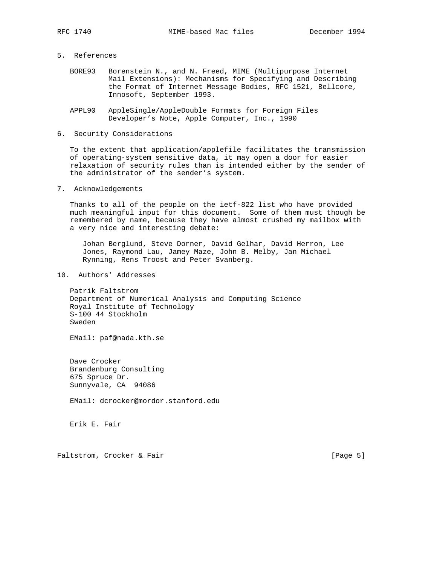- 5. References
	- BORE93 Borenstein N., and N. Freed, MIME (Multipurpose Internet Mail Extensions): Mechanisms for Specifying and Describing the Format of Internet Message Bodies, RFC 1521, Bellcore, Innosoft, September 1993.
	- APPL90 AppleSingle/AppleDouble Formats for Foreign Files Developer's Note, Apple Computer, Inc., 1990
- 6. Security Considerations

 To the extent that application/applefile facilitates the transmission of operating-system sensitive data, it may open a door for easier relaxation of security rules than is intended either by the sender of the administrator of the sender's system.

7. Acknowledgements

 Thanks to all of the people on the ietf-822 list who have provided much meaningful input for this document. Some of them must though be remembered by name, because they have almost crushed my mailbox with a very nice and interesting debate:

 Johan Berglund, Steve Dorner, David Gelhar, David Herron, Lee Jones, Raymond Lau, Jamey Maze, John B. Melby, Jan Michael Rynning, Rens Troost and Peter Svanberg.

10. Authors' Addresses

 Patrik Faltstrom Department of Numerical Analysis and Computing Science Royal Institute of Technology S-100 44 Stockholm Sweden

EMail: paf@nada.kth.se

 Dave Crocker Brandenburg Consulting 675 Spruce Dr. Sunnyvale, CA 94086

EMail: dcrocker@mordor.stanford.edu

Erik E. Fair

Faltstrom, Crocker & Fair extended to the control of the set of  $[Page 5]$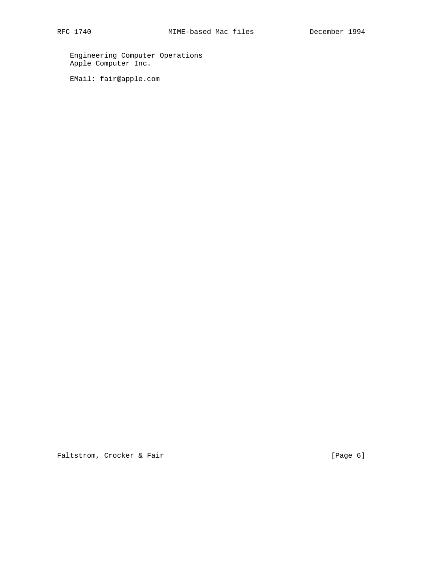Engineering Computer Operations Apple Computer Inc.

EMail: fair@apple.com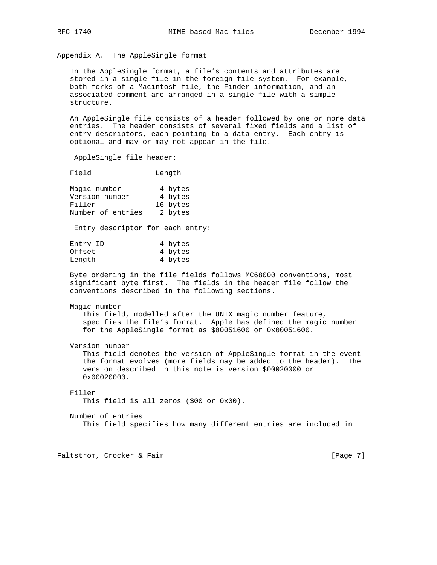Appendix A. The AppleSingle format

 In the AppleSingle format, a file's contents and attributes are stored in a single file in the foreign file system. For example, both forks of a Macintosh file, the Finder information, and an associated comment are arranged in a single file with a simple structure.

 An AppleSingle file consists of a header followed by one or more data entries. The header consists of several fixed fields and a list of entry descriptors, each pointing to a data entry. Each entry is optional and may or may not appear in the file.

AppleSingle file header:

Field Length

| Magic number      |  | 4 bytes  |
|-------------------|--|----------|
| Version number    |  | 4 bytes  |
| Filler            |  | 16 bytes |
| Number of entries |  | 2 bytes  |

Entry descriptor for each entry:

| Entry ID | 4 bytes |
|----------|---------|
| Offset   | 4 bytes |
| Length   | 4 bytes |

 Byte ordering in the file fields follows MC68000 conventions, most significant byte first. The fields in the header file follow the conventions described in the following sections.

Magic number

 This field, modelled after the UNIX magic number feature, specifies the file's format. Apple has defined the magic number for the AppleSingle format as \$00051600 or 0x00051600.

Version number

 This field denotes the version of AppleSingle format in the event the format evolves (more fields may be added to the header). The version described in this note is version \$00020000 or  $0 \times 00020000$ .

## Filler

This field is all zeros (\$00 or 0x00).

### Number of entries

This field specifies how many different entries are included in

Faltstrom, Crocker & Fair extended to the control of the control of the page 7]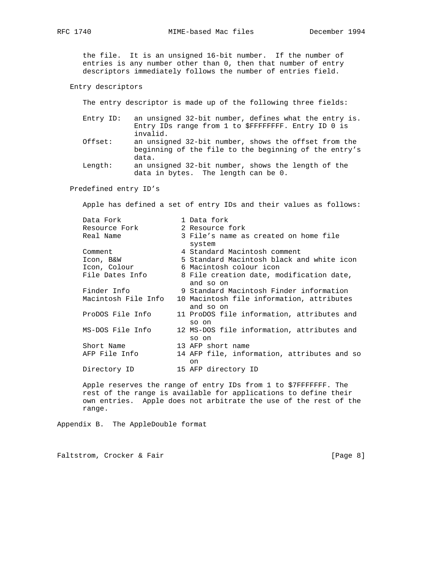the file. It is an unsigned 16-bit number. If the number of entries is any number other than 0, then that number of entry descriptors immediately follows the number of entries field.

Entry descriptors

The entry descriptor is made up of the following three fields:

| Entry ID: | an unsigned 32-bit number, defines what the entry is.                                                                  |
|-----------|------------------------------------------------------------------------------------------------------------------------|
|           | Entry IDs range from 1 to \$FFFFFFFF. Entry ID 0 is<br>invalid.                                                        |
| Offset:   | an unsigned 32-bit number, shows the offset from the<br>beginning of the file to the beginning of the entry's<br>data. |
| Length:   | an unsigned 32-bit number, shows the length of the                                                                     |

data in bytes. The length can be 0.

Predefined entry ID's

Apple has defined a set of entry IDs and their values as follows:

| Data Fork           | 1 Data fork                                            |
|---------------------|--------------------------------------------------------|
| Resource Fork       | 2 Resource fork                                        |
| Real Name           | 3 File's name as created on home file<br>system        |
| Comment             | 4 Standard Macintosh comment                           |
| Icon, B&W           | 5 Standard Macintosh black and white icon              |
| Icon, Colour        | 6 Macintosh colour icon                                |
| File Dates Info     | 8 File creation date, modification date,<br>and so on  |
| Finder Info         | 9 Standard Macintosh Finder information                |
| Macintosh File Info | 10 Macintosh file information, attributes<br>and so on |
| ProDOS File Info    | 11 ProDOS file information, attributes and<br>so on    |
| MS-DOS File Info    | 12 MS-DOS file information, attributes and<br>so on    |
| Short Name          | 13 AFP short name                                      |
| AFP File Info       | 14 AFP file, information, attributes and so<br>on      |
| Directory ID        | 15 AFP directory ID                                    |

 Apple reserves the range of entry IDs from 1 to \$7FFFFFFF. The rest of the range is available for applications to define their own entries. Apple does not arbitrate the use of the rest of the range.

Appendix B. The AppleDouble format

Faltstrom, Crocker & Fair extended to the control of the set of the page 8]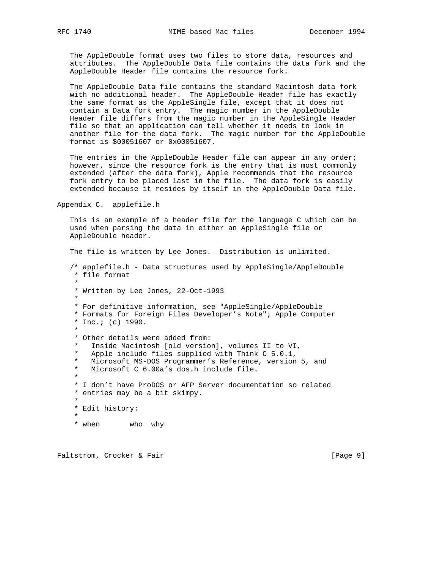The AppleDouble format uses two files to store data, resources and attributes. The AppleDouble Data file contains the data fork and the AppleDouble Header file contains the resource fork.

 The AppleDouble Data file contains the standard Macintosh data fork with no additional header. The AppleDouble Header file has exactly the same format as the AppleSingle file, except that it does not contain a Data fork entry. The magic number in the AppleDouble Header file differs from the magic number in the AppleSingle Header file so that an application can tell whether it needs to look in another file for the data fork. The magic number for the AppleDouble format is \$00051607 or 0x00051607.

The entries in the AppleDouble Header file can appear in any order; however, since the resource fork is the entry that is most commonly extended (after the data fork), Apple recommends that the resource fork entry to be placed last in the file. The data fork is easily extended because it resides by itself in the AppleDouble Data file.

Appendix C. applefile.h

 This is an example of a header file for the language C which can be used when parsing the data in either an AppleSingle file or AppleDouble header.

 The file is written by Lee Jones. Distribution is unlimited. /\* applefile.h - Data structures used by AppleSingle/AppleDouble \* file format \* \* Written by Lee Jones, 22-Oct-1993 \* \* For definitive information, see "AppleSingle/AppleDouble \* Formats for Foreign Files Developer's Note"; Apple Computer \* Inc.; (c) 1990. \* \* Other details were added from: Inside Macintosh [old version], volumes II to VI, Apple include files supplied with Think  $C$  5.0.1, \* Microsoft MS-DOS Programmer's Reference, version 5, and Microsoft C 6.00a's dos.h include file. \* \* I don't have ProDOS or AFP Server documentation so related \* entries may be a bit skimpy. \* \* Edit history: \* \* when who why

Faltstrom, Crocker & Fair extended to the extended of the extended of  $[Page 9]$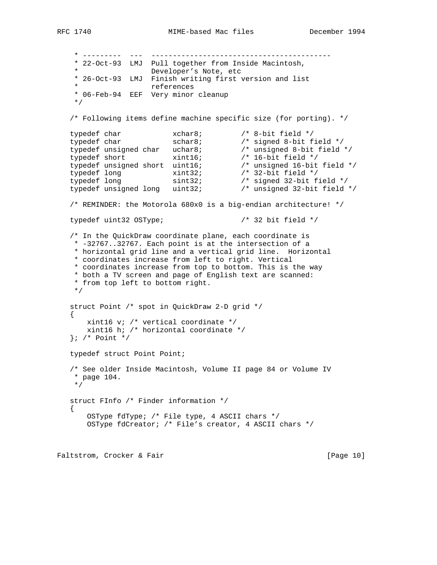\* --------- --- ------------------------------------------ \* 22-Oct-93 LMJ Pull together from Inside Macintosh, \* Developer's Note, etc \* 26-Oct-93 LMJ Finish writing first version and list references \* 06-Feb-94 EEF Very minor cleanup \*/ /\* Following items define machine specific size (for porting). \*/ typedef char  $x$ char8;  $x$  /\* 8-bit field \*/<br>typedef char schar8;  $x$  /\* signed 8-bit field \*/ typedef char  $s$  schar8;  $\qquad$  /\* signed 8-bit field \*/ typedef unsigned char uchar8; /\* unsigned 8-bit field \*/ typedef short xint16; /\* 16-bit field \*/ typedef unsigned short uint16; /\* unsigned 16-bit field \*/ typedef long xint32; /\* 32-bit field \*/ typedef long sint32; /\* signed 32-bit field \*/ typedef unsigned long uint32; /\* unsigned 32-bit field \*/ /\* REMINDER: the Motorola 680x0 is a big-endian architecture! \*/ typedef uint32 OSType; /\* 32 bit field \*/ /\* In the QuickDraw coordinate plane, each coordinate is \* -32767..32767. Each point is at the intersection of a \* horizontal grid line and a vertical grid line. Horizontal \* coordinates increase from left to right. Vertical \* coordinates increase from top to bottom. This is the way \* both a TV screen and page of English text are scanned: \* from top left to bottom right. \*/ struct Point /\* spot in QuickDraw 2-D grid \*/  $\{$  \cdot \cdot \cdot \cdot \cdot \cdot \cdot \cdot \cdot \cdot \cdot \cdot \cdot \cdot \cdot \cdot \cdot \cdot \cdot \cdot \cdot \cdot \cdot \cdot \cdot \cdot \cdot \cdot \cdot \cdot \cdot \cdot \cdot \cdot \cdot \cdot xint16 v; /\* vertical coordinate \*/ xint16 h; /\* horizontal coordinate \*/ }; /\* Point \*/ typedef struct Point Point; /\* See older Inside Macintosh, Volume II page 84 or Volume IV \* page 104. \*/ struct FInfo /\* Finder information \*/ { OSType fdType; /\* File type, 4 ASCII chars \*/ OSType fdCreator; /\* File's creator, 4 ASCII chars \*/

Faltstrom, Crocker & Fair and The Contract of Page 10]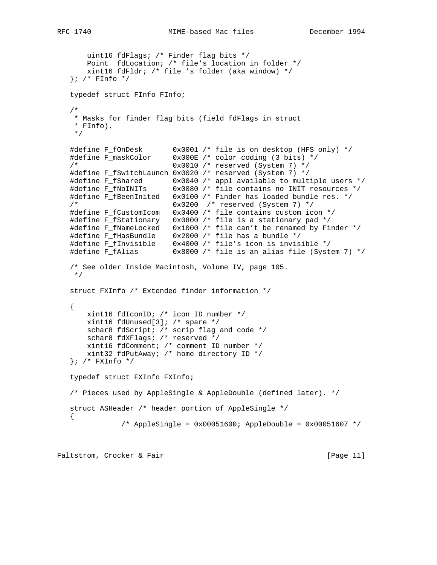```
 uint16 fdFlags; /* Finder flag bits */
       Point fdLocation; /* file's location in folder */
       xint16 fdFldr; /* file 's folder (aka window) */
  }; /* FInfo */
   typedef struct FInfo FInfo;
   /*
    * Masks for finder flag bits (field fdFlags in struct
    * FInfo).
    */
  #define F_fOnDesk 0x0001 /* file is on desktop (HFS only) */<br>#define F_maskColor 0x000E /* color coding (3 bits) */<br>/* 0x0010 /* reserved (Svstem 7) */
                           0x000E /* color coding (3 bits) */
                            /* 0x0010 /* reserved (System 7) */
   #define F_fSwitchLaunch 0x0020 /* reserved (System 7) */
 #define F_fShared 0x0040 /* appl available to multiple users */
 #define F_fNoINITs 0x0080 /* file contains no INIT resources */
   #define F_fBeenInited 0x0100 /* Finder has loaded bundle res. */
    /* 0x0200 /* reserved (System 7) */
   #define F_fCustomIcom 0x0400 /* file contains custom icon */
 #define F_fStationary 0x0800 /* file is a stationary pad */
 #define F_fNameLocked 0x1000 /* file can't be renamed by Finder */
 #define F_fHasBundle 0x2000 /* file has a bundle */
 #define F_fInvisible 0x4000 /* file's icon is invisible */
 #define F_fAlias 0x8000 /* file is an alias file (System 7) */
   /* See older Inside Macintosh, Volume IV, page 105.
    */
   struct FXInfo /* Extended finder information */
   {
       xint16 fdIconID; /* icon ID number */
       xint16 fdUnused[3]; /* spare */
      schar8 fdScript; /* scrip flag and code */
       schar8 fdXFlags; /* reserved */
       xint16 fdComment; /* comment ID number */
       xint32 fdPutAway; /* home directory ID */
  }; /* FXInfo */
   typedef struct FXInfo FXInfo;
   /* Pieces used by AppleSingle & AppleDouble (defined later). */
   struct ASHeader /* header portion of AppleSingle */
   {
                /* AppleSingle = 0x00051600; AppleDouble = 0x00051607 */
```
Faltstrom, Crocker & Fair and The Contract of Page 11]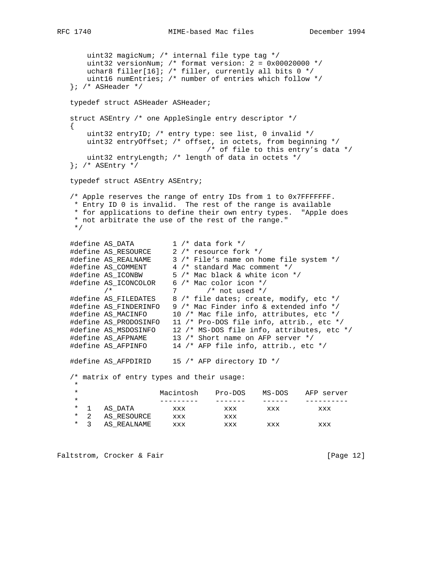```
 uint32 magicNum; /* internal file type tag */
 uint32 versionNum; /* format version: 2 = 0x00020000 */
 uchar8 filler[16]; /* filler, currently all bits 0 */
      uint16 numEntries; /* number of entries which follow */
  }; /* ASHeader */
   typedef struct ASHeader ASHeader;
   struct ASEntry /* one AppleSingle entry descriptor */
   {
      uint32 entryID; /* entry type: see list, 0 invalid */
      uint32 entryOffset; /* offset, in octets, from beginning */
                              /* of file to this entry's data */
      uint32 entryLength; /* length of data in octets */
   }; /* ASEntry */
   typedef struct ASEntry ASEntry;
   /* Apple reserves the range of entry IDs from 1 to 0x7FFFFFFF.
    * Entry ID 0 is invalid. The rest of the range is available
    * for applications to define their own entry types. "Apple does
    * not arbitrate the use of the rest of the range."
    */
 #define AS_DATA 1 /* data fork */
 #define AS_RESOURCE 2 /* resource fork */
 #define AS_REALNAME 3 /* File's name on home file system */
 #define AS_COMMENT 4 /* standard Mac comment */
 #define AS_ICONBW 5 /* Mac black & white icon */
 #define AS_ICONCOLOR 6 /* Mac color icon */
\frac{1}{x} /* 7 /* not used */
 #define AS_FILEDATES 8 /* file dates; create, modify, etc */
   #define AS_FINDERINFO 9 /* Mac Finder info & extended info */
   #define AS_MACINFO 10 /* Mac file info, attributes, etc */
 #define AS_PRODOSINFO 11 /* Pro-DOS file info, attrib., etc */
 #define AS_MSDOSINFO 12 /* MS-DOS file info, attributes, etc */
 #define AS_AFPNAME 13 /* Short name on AFP server */
 #define AS_AFPINFO 14 /* AFP file info, attrib., etc */
   #define AS_AFPDIRID 15 /* AFP directory ID */
   /* matrix of entry types and their usage:
 *
    * Macintosh Pro-DOS MS-DOS AFP server
 * --------- ------- ------ ----------
 * 1 AS_DATA xxx xxx xxx xxx
* 2 AS_RESOURCE xxx xxx
 * 3 AS_REALNAME xxx xxx xxx xxx
```
Faltstrom, Crocker & Fair and The Control of Page 12]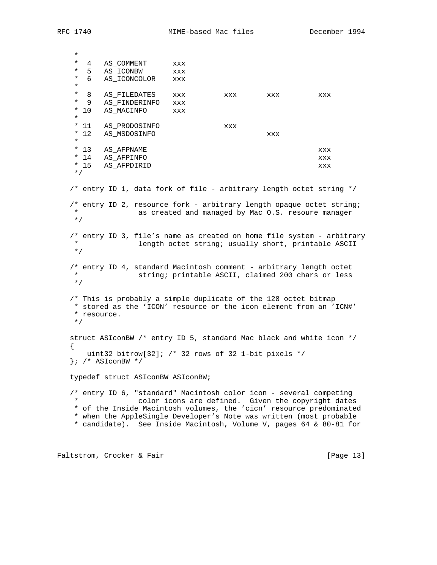\* \* 4 AS\_COMMENT xxx \* 5 AS\_ICONBW xxx \* 6 AS\_ICONCOLOR xxx \* \* 8 AS\_FILEDATES xxx xxx xxx xxx xxx \* 9 AS\_FINDERINFO xxx \* 10 AS\_MACINFO xxx \* \* 11 AS\_PRODOSINFO xxx \* 12 AS\_MSDOSINFO xxx \* \* 13 AS\_AFPNAME xxx AS\_AFPINFO  $$\tt XXX$  \* 15 AS\_AFPDIRID xxx \*/ /\* entry ID 1, data fork of file - arbitrary length octet string \*/ /\* entry ID 2, resource fork - arbitrary length opaque octet string; as created and managed by Mac O.S. resoure manager \*/ /\* entry ID 3, file's name as created on home file system - arbitrary length octet string; usually short, printable ASCII \*/ /\* entry ID 4, standard Macintosh comment - arbitrary length octet string; printable ASCII, claimed 200 chars or less \*/ /\* This is probably a simple duplicate of the 128 octet bitmap \* stored as the 'ICON' resource or the icon element from an 'ICN#' \* resource. \*/ struct ASIconBW /\* entry ID 5, standard Mac black and white icon \*/  $\left\{ \right.$  uint32 bitrow[32]; /\* 32 rows of 32 1-bit pixels \*/ }; /\* ASIconBW \*/ typedef struct ASIconBW ASIconBW; /\* entry ID 6, "standard" Macintosh color icon - several competing color icons are defined. Given the copyright dates \* of the Inside Macintosh volumes, the 'cicn' resource predominated \* when the AppleSingle Developer's Note was written (most probable \* candidate). See Inside Macintosh, Volume V, pages 64 & 80-81 for

Faltstrom, Crocker & Fair and The Contract of Page 13]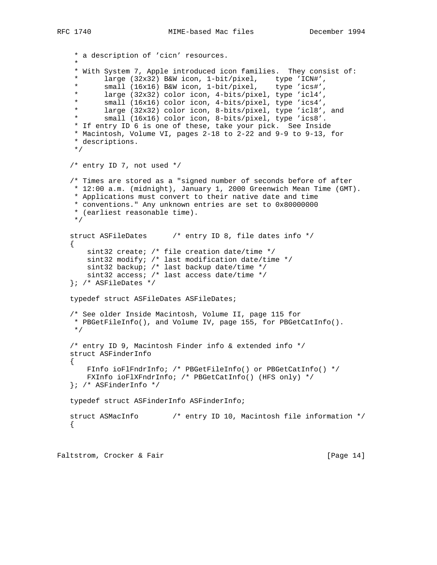```
 * a description of 'cicn' resources.
 *
     * With System 7, Apple introduced icon families. They consist of:
 * large (32x32) B&W icon, 1-bit/pixel, type 'ICN#',
 * small (16x16) B&W icon, 1-bit/pixel, type 'ics#',
     * large (32x32) color icon, 4-bits/pixel, type 'icl4',
           small (16x16) color icon, 4-bits/pixel, type 'ics4',
     * large (32x32) color icon, 8-bits/pixel, type 'icl8', and
            small (16x16) color icon, 8-bits/pixel, type 'ics8'.
     * If entry ID 6 is one of these, take your pick. See Inside
     * Macintosh, Volume VI, pages 2-18 to 2-22 and 9-9 to 9-13, for
     * descriptions.
     */
    /* entry ID 7, not used */
    /* Times are stored as a "signed number of seconds before of after
     * 12:00 a.m. (midnight), January 1, 2000 Greenwich Mean Time (GMT).
     * Applications must convert to their native date and time
     * conventions." Any unknown entries are set to 0x80000000
     * (earliest reasonable time).
     */
   struct ASFileDates /* entry ID 8, file dates info */
\{ \cdot \cdot \cdot \cdot \cdot \cdot \cdot \cdot \cdot \cdot \cdot \cdot \cdot \cdot \cdot \cdot \cdot \cdot \cdot \cdot \cdot \cdot \cdot \cdot \cdot \cdot \cdot \cdot \cdot \cdot \cdot \cdot \cdot \cdot \cdot \cdot 
        sint32 create; /* file creation date/time */
       sint32 modify; /* last modification date/time */
       sint32 backup; /* last backup date/time */
       sint32 access; /* last access date/time */
    }; /* ASFileDates */
    typedef struct ASFileDates ASFileDates;
    /* See older Inside Macintosh, Volume II, page 115 for
     * PBGetFileInfo(), and Volume IV, page 155, for PBGetCatInfo().
     */
    /* entry ID 9, Macintosh Finder info & extended info */
    struct ASFinderInfo
    {
        FInfo ioFlFndrInfo; /* PBGetFileInfo() or PBGetCatInfo() */
        FXInfo ioFlXFndrInfo; /* PBGetCatInfo() (HFS only) */
    }; /* ASFinderInfo */
    typedef struct ASFinderInfo ASFinderInfo;
    struct ASMacInfo /* entry ID 10, Macintosh file information */
    {
```
Faltstrom, Crocker & Fair and The Contract of Page 14]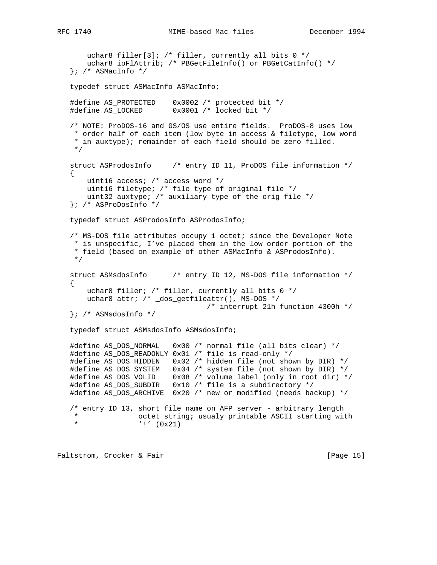```
uchar8 filler[3]; /* filler, currently all bits 0 */
        uchar8 ioFlAttrib; /* PBGetFileInfo() or PBGetCatInfo() */
   }; /* ASMacInfo */
    typedef struct ASMacInfo ASMacInfo;
    #define AS_PROTECTED 0x0002 /* protected bit */
    #define AS_LOCKED 0x0001 /* locked bit */
    /* NOTE: ProDOS-16 and GS/OS use entire fields. ProDOS-8 uses low
     * order half of each item (low byte in access & filetype, low word
     * in auxtype); remainder of each field should be zero filled.
     */
    struct ASProdosInfo /* entry ID 11, ProDOS file information */
\{ \cdot \cdot \cdot \cdot \cdot \cdot \cdot \cdot \cdot \cdot \cdot \cdot \cdot \cdot \cdot \cdot \cdot \cdot \cdot \cdot \cdot \cdot \cdot \cdot \cdot \cdot \cdot \cdot \cdot \cdot \cdot \cdot \cdot \cdot \cdot \cdot 
        uint16 access; /* access word */
        uint16 filetype; /* file type of original file */
        uint32 auxtype; /* auxiliary type of the orig file */
    }; /* ASProDosInfo */
    typedef struct ASProdosInfo ASProdosInfo;
    /* MS-DOS file attributes occupy 1 octet; since the Developer Note
    * is unspecific, I've placed them in the low order portion of the
     * field (based on example of other ASMacInfo & ASProdosInfo).
     */
    struct ASMsdosInfo /* entry ID 12, MS-DOS file information */
   \left\{ \right.uchar8 filler; /* filler, currently all bits 0 */
        uchar8 attr; /* _dos_getfileattr(), MS-DOS */
                                      /* interrupt 21h function 4300h */
    }; /* ASMsdosInfo */
    typedef struct ASMsdosInfo ASMsdosInfo;
 #define AS_DOS_NORMAL 0x00 /* normal file (all bits clear) */
 #define AS_DOS_READONLY 0x01 /* file is read-only */
    #define AS_DOS_HIDDEN 0x02 /* hidden file (not shown by DIR) */
    #define AS_DOS_SYSTEM 0x04 /* system file (not shown by DIR) */
    #define AS_DOS_VOLID 0x08 /* volume label (only in root dir) */
    #define AS_DOS_SUBDIR 0x10 /* file is a subdirectory */
    #define AS_DOS_ARCHIVE 0x20 /* new or modified (needs backup) */
    /* entry ID 13, short file name on AFP server - arbitrary length
    * octet string; usualy printable ASCII starting with
                    ' !' (0x21)
```
Faltstrom, Crocker & Fair and The Contract of Page 15]